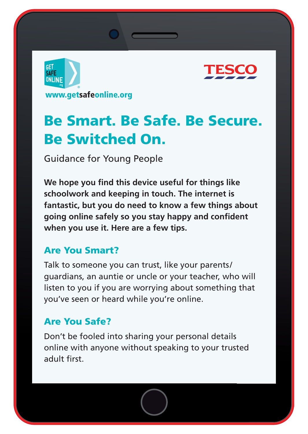



# **Be Smart. Be Safe. Be Secure. Be Switched On.**

Guidance for Young People

We hope you find this device useful for things like **schoolwork and keeping in touch. The internet is fantastic, but you do need to know a few things about**  going online safely so you stay happy and confident **when you use it. Here are a few tips.**

# **Are You Smart?**

Talk to someone you can trust, like your parents/ guardians, an auntie or uncle or your teacher, who will listen to you if you are worrying about something that you've seen or heard while you're online.

# **Are You Safe?**

Don't be fooled into sharing your personal details online with anyone without speaking to your trusted adult first.